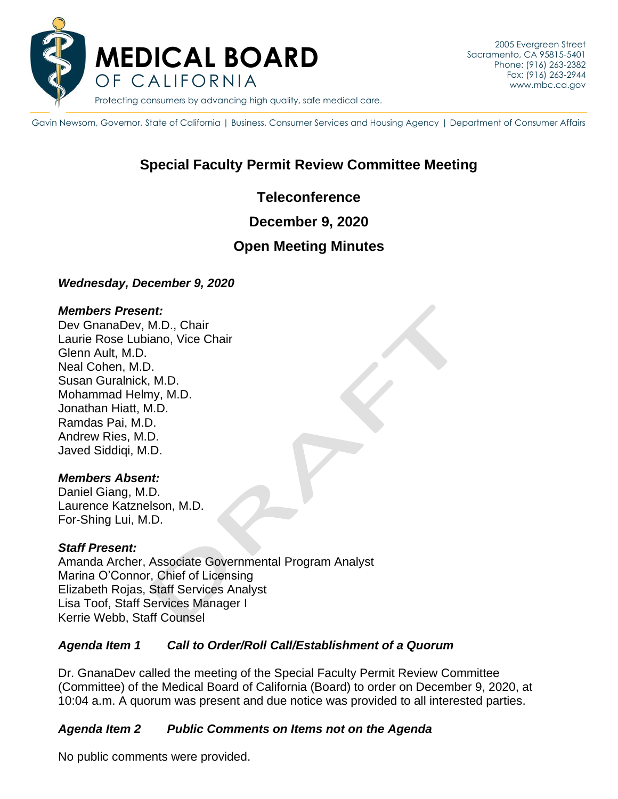

Gavin Newsom, Governor, State of California | Business, Consumer Services and Housing Agency | Department of Consumer Affairs

# **Special Faculty Permit Review Committee Meeting**

### **Teleconference**

### **December 9, 2020**

## **Open Meeting Minutes**

### *Wednesday, December 9, 2020*

#### *Members Present:*

Dev GnanaDev, M.D., Chair Laurie Rose Lubiano, Vice Chair Glenn Ault, M.D. Neal Cohen, M.D. Susan Guralnick, M.D. Mohammad Helmy, M.D. Jonathan Hiatt, M.D. Ramdas Pai, M.D. Andrew Ries, M.D. Javed Siddiqi, M.D.

#### *Members Absent:*

Daniel Giang, M.D. Laurence Katznelson, M.D. For-Shing Lui, M.D.

### *Staff Present:*

Amanda Archer, Associate Governmental Program Analyst Marina O'Connor, Chief of Licensing Elizabeth Rojas, Staff Services Analyst Lisa Toof, Staff Services Manager I Kerrie Webb, Staff Counsel

### *Agenda Item 1 Call to Order/Roll Call/Establishment of a Quorum*

Dr. GnanaDev called the meeting of the Special Faculty Permit Review Committee (Committee) of the Medical Board of California (Board) to order on December 9, 2020, at 10:04 a.m. A quorum was present and due notice was provided to all interested parties.

### *Agenda Item 2 Public Comments on Items not on the Agenda*

No public comments were provided.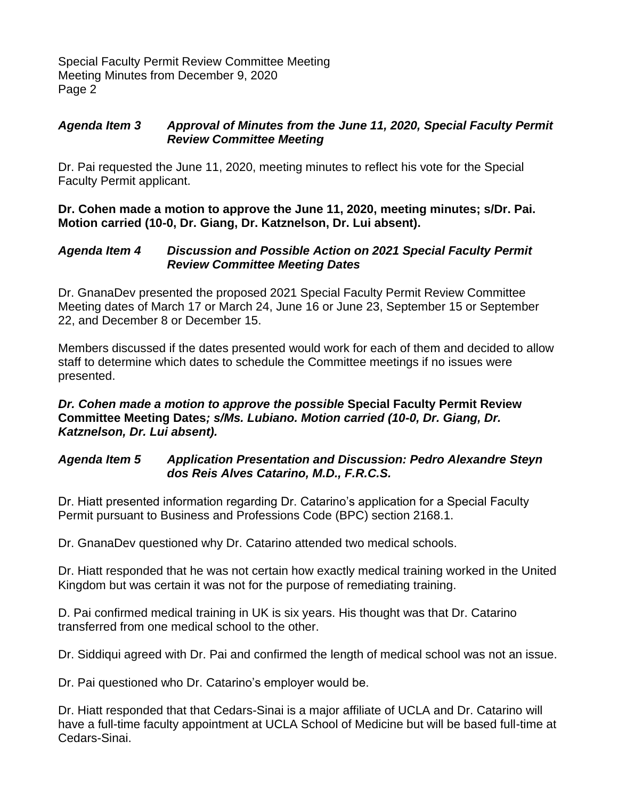Special Faculty Permit Review Committee Meeting Meeting Minutes from December 9, 2020 Page 2

### *Agenda Item 3 Approval of Minutes from the June 11, 2020, Special Faculty Permit Review Committee Meeting*

Dr. Pai requested the June 11, 2020, meeting minutes to reflect his vote for the Special Faculty Permit applicant.

**Dr. Cohen made a motion to approve the June 11, 2020, meeting minutes; s/Dr. Pai. Motion carried (10-0, Dr. Giang, Dr. Katznelson, Dr. Lui absent).**

### *Agenda Item 4 Discussion and Possible Action on 2021 Special Faculty Permit Review Committee Meeting Dates*

Dr. GnanaDev presented the proposed 2021 Special Faculty Permit Review Committee Meeting dates of March 17 or March 24, June 16 or June 23, September 15 or September 22, and December 8 or December 15.

Members discussed if the dates presented would work for each of them and decided to allow staff to determine which dates to schedule the Committee meetings if no issues were presented.

### *Dr. Cohen made a motion to approve the possible* **Special Faculty Permit Review Committee Meeting Dates***; s/Ms. Lubiano. Motion carried (10-0, Dr. Giang, Dr. Katznelson, Dr. Lui absent).*

### *Agenda Item 5 Application Presentation and Discussion: Pedro Alexandre Steyn dos Reis Alves Catarino, M.D., F.R.C.S.*

Dr. Hiatt presented information regarding Dr. Catarino's application for a Special Faculty Permit pursuant to Business and Professions Code (BPC) section 2168.1.

Dr. GnanaDev questioned why Dr. Catarino attended two medical schools.

Dr. Hiatt responded that he was not certain how exactly medical training worked in the United Kingdom but was certain it was not for the purpose of remediating training.

D. Pai confirmed medical training in UK is six years. His thought was that Dr. Catarino transferred from one medical school to the other.

Dr. Siddiqui agreed with Dr. Pai and confirmed the length of medical school was not an issue.

Dr. Pai questioned who Dr. Catarino's employer would be.

Dr. Hiatt responded that that Cedars-Sinai is a major affiliate of UCLA and Dr. Catarino will have a full-time faculty appointment at UCLA School of Medicine but will be based full-time at Cedars-Sinai.